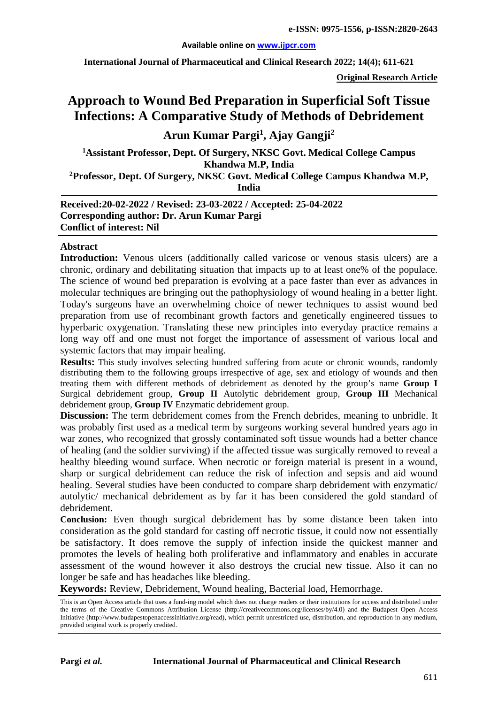#### **Available online on [www.ijpcr.com](http://www.ijpcr.com/)**

**International Journal of Pharmaceutical and Clinical Research 2022; 14(4); 611-621**

**Original Research Article**

## **Approach to Wound Bed Preparation in Superficial Soft Tissue Infections: A Comparative Study of Methods of Debridement**

## **Arun Kumar Pargi<sup>1</sup> , Ajay Gangji2**

**1Assistant Professor, Dept. Of Surgery, NKSC Govt. Medical College Campus Khandwa M.P, India**

**2Professor, Dept. Of Surgery, NKSC Govt. Medical College Campus Khandwa M.P,** 

**India**

**Received:20-02-2022 / Revised: 23-03-2022 / Accepted: 25-04-2022 Corresponding author: Dr. Arun Kumar Pargi Conflict of interest: Nil**

#### **Abstract**

**Introduction:** Venous ulcers (additionally called varicose or venous stasis ulcers) are a chronic, ordinary and debilitating situation that impacts up to at least one% of the populace. The science of wound bed preparation is evolving at a pace faster than ever as advances in molecular techniques are bringing out the pathophysiology of wound healing in a better light. Today's surgeons have an overwhelming choice of newer techniques to assist wound bed preparation from use of recombinant growth factors and genetically engineered tissues to hyperbaric oxygenation. Translating these new principles into everyday practice remains a long way off and one must not forget the importance of assessment of various local and systemic factors that may impair healing.

**Results:** This study involves selecting hundred suffering from acute or chronic wounds, randomly distributing them to the following groups irrespective of age, sex and etiology of wounds and then treating them with different methods of debridement as denoted by the group's name **Group I** Surgical debridement group, **Group II** Autolytic debridement group, **Group III** Mechanical debridement group, **Group IV** Enzymatic debridement group.

**Discussion:** The term debridement comes from the French debrides, meaning to unbridle. It was probably first used as a medical term by surgeons working several hundred years ago in war zones, who recognized that grossly contaminated soft tissue wounds had a better chance of healing (and the soldier surviving) if the affected tissue was surgically removed to reveal a healthy bleeding wound surface. When necrotic or foreign material is present in a wound, sharp or surgical debridement can reduce the risk of infection and sepsis and aid wound healing. Several studies have been conducted to compare sharp debridement with enzymatic/ autolytic/ mechanical debridement as by far it has been considered the gold standard of debridement.

**Conclusion:** Even though surgical debridement has by some distance been taken into consideration as the gold standard for casting off necrotic tissue, it could now not essentially be satisfactory. It does remove the supply of infection inside the quickest manner and promotes the levels of healing both proliferative and inflammatory and enables in accurate assessment of the wound however it also destroys the crucial new tissue. Also it can no longer be safe and has headaches like bleeding.

**Keywords:** Review, Debridement, Wound healing, Bacterial load, Hemorrhage.

This is an Open Access article that uses a fund-ing model which does not charge readers or their institutions for access and distributed under the terms of the Creative Commons Attribution License (http://creativecommons.org/licenses/by/4.0) and the Budapest Open Access Initiative (http://www.budapestopenaccessinitiative.org/read), which permit unrestricted use, distribution, and reproduction in any medium, provided original work is properly credited.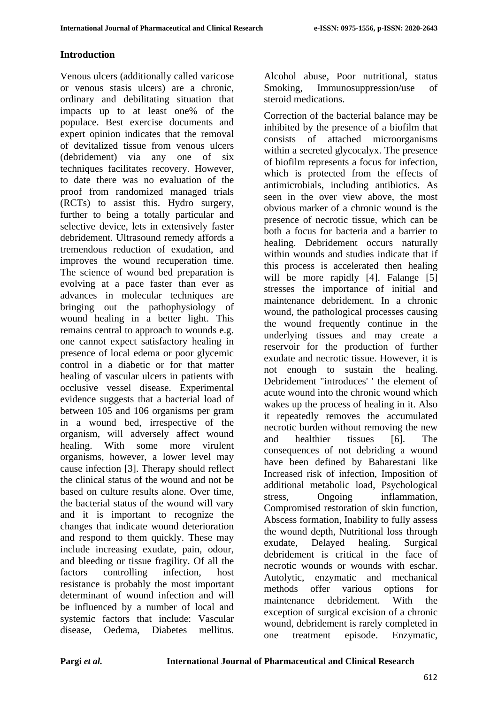## **Introduction**

Venous ulcers (additionally called varicose or venous stasis ulcers) are a chronic, ordinary and debilitating situation that impacts up to at least one% of the populace. Best exercise documents and expert opinion indicates that the removal of devitalized tissue from venous ulcers (debridement) via any one of six techniques facilitates recovery. However, to date there was no evaluation of the proof from randomized managed trials (RCTs) to assist this. Hydro surgery, further to being a totally particular and selective device, lets in extensively faster debridement. Ultrasound remedy affords a tremendous reduction of exudation, and improves the wound recuperation time. The science of wound bed preparation is evolving at a pace faster than ever as advances in molecular techniques are bringing out the pathophysiology of wound healing in a better light. This remains central to approach to wounds e.g. one cannot expect satisfactory healing in presence of local edema or poor glycemic control in a diabetic or for that matter healing of vascular ulcers in patients with occlusive vessel disease. Experimental evidence suggests that a bacterial load of between 105 and 106 organisms per gram in a wound bed, irrespective of the organism, will adversely affect wound healing. With some more virulent organisms, however, a lower level may cause infection [3]. Therapy should reflect the clinical status of the wound and not be based on culture results alone. Over time, the bacterial status of the wound will vary and it is important to recognize the changes that indicate wound deterioration and respond to them quickly. These may include increasing exudate, pain, odour, and bleeding or tissue fragility. Of all the factors controlling infection, host resistance is probably the most important determinant of wound infection and will be influenced by a number of local and systemic factors that include: Vascular disease, Oedema, Diabetes mellitus.

Alcohol abuse, Poor nutritional, status Smoking, Immunosuppression/use of steroid medications.

Correction of the bacterial balance may be inhibited by the presence of a biofilm that consists of attached microorganisms within a secreted glycocalyx. The presence of biofilm represents a focus for infection, which is protected from the effects of antimicrobials, including antibiotics. As seen in the over view above, the most obvious marker of a chronic wound is the presence of necrotic tissue, which can be both a focus for bacteria and a barrier to healing. Debridement occurs naturally within wounds and studies indicate that if this process is accelerated then healing will be more rapidly [4]. Falange [5] stresses the importance of initial and maintenance debridement. In a chronic wound, the pathological processes causing the wound frequently continue in the underlying tissues and may create a reservoir for the production of further exudate and necrotic tissue. However, it is not enough to sustain the healing. Debridement "introduces' ' the element of acute wound into the chronic wound which wakes up the process of healing in it. Also it repeatedly removes the accumulated necrotic burden without removing the new and healthier tissues [6]. The consequences of not debriding a wound have been defined by Baharestani like Increased risk of infection, Imposition of additional metabolic load, Psychological stress, Ongoing inflammation, Compromised restoration of skin function, Abscess formation, Inability to fully assess the wound depth, Nutritional loss through exudate, Delayed healing. Surgical debridement is critical in the face of necrotic wounds or wounds with eschar. Autolytic, enzymatic and mechanical methods offer various options for maintenance debridement. With the exception of surgical excision of a chronic wound, debridement is rarely completed in one treatment episode. Enzymatic,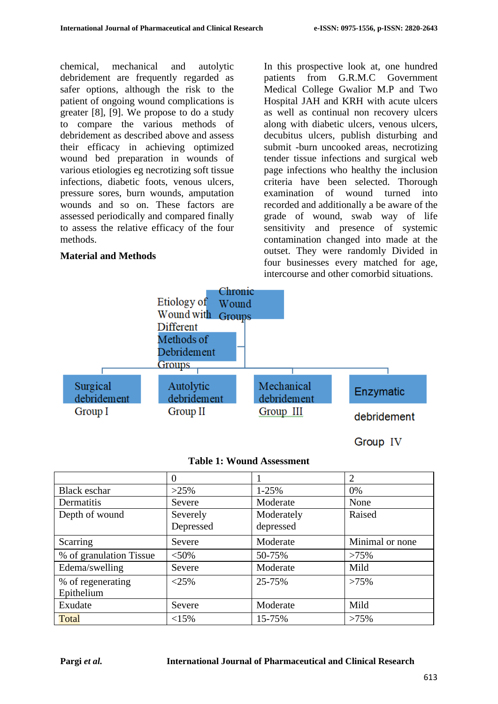chemical, mechanical and autolytic debridement are frequently regarded as safer options, although the risk to the patient of ongoing wound complications is greater [8], [9]. We propose to do a study to compare the various methods of debridement as described above and assess their efficacy in achieving optimized wound bed preparation in wounds of various etiologies eg necrotizing soft tissue infections, diabetic foots, venous ulcers, pressure sores, burn wounds, amputation wounds and so on. These factors are assessed periodically and compared finally to assess the relative efficacy of the four methods.

## **Material and Methods**

In this prospective look at, one hundred patients from G.R.M.C Government Medical College Gwalior M.P and Two Hospital JAH and KRH with acute ulcers as well as continual non recovery ulcers along with diabetic ulcers, venous ulcers, decubitus ulcers, publish disturbing and submit -burn uncooked areas, necrotizing tender tissue infections and surgical web page infections who healthy the inclusion criteria have been selected. Thorough examination of wound turned into recorded and additionally a be aware of the grade of wound, swab way of life sensitivity and presence of systemic contamination changed into made at the outset. They were randomly Divided in four businesses every matched for age, intercourse and other comorbid situations.

Group IV



# **Table 1: Wound Assessment**

|                                 | $\Omega$              |                         | $\overline{2}$  |
|---------------------------------|-----------------------|-------------------------|-----------------|
| <b>Black eschar</b>             | $>25\%$               | $1 - 25%$               | 0%              |
| Dermatitis                      | Severe                | Moderate                | None            |
| Depth of wound                  | Severely<br>Depressed | Moderately<br>depressed | Raised          |
| Scarring                        | Severe                | Moderate                | Minimal or none |
| % of granulation Tissue         | $< 50\%$              | 50-75%                  | >75%            |
| Edema/swelling                  | Severe                | Moderate                | Mild            |
| % of regenerating<br>Epithelium | $<25\%$               | 25-75%                  | $>75\%$         |
| Exudate                         | Severe                | Moderate                | Mild            |
| Total                           | <15%                  | 15-75%                  | >75%            |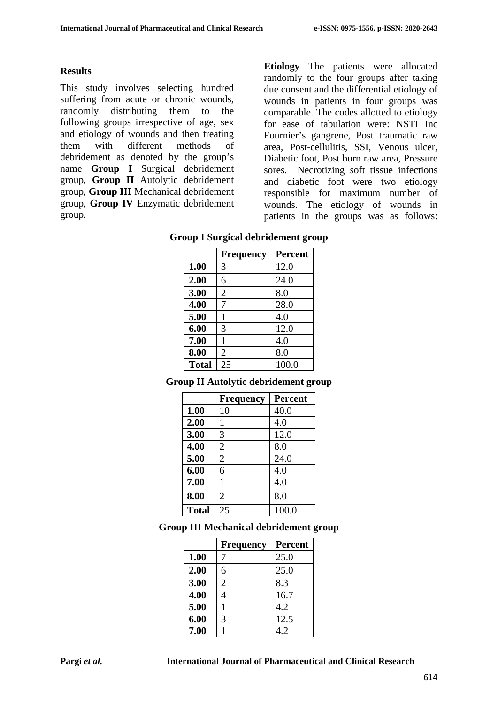#### **Results**

This study involves selecting hundred suffering from acute or chronic wounds, randomly distributing them to the following groups irrespective of age, sex and etiology of wounds and then treating them with different methods of debridement as denoted by the group's name **Group I** Surgical debridement group, **Group II** Autolytic debridement group, **Group III** Mechanical debridement group, **Group IV** Enzymatic debridement group.

**Etiology** The patients were allocated randomly to the four groups after taking due consent and the differential etiology of wounds in patients in four groups was comparable. The codes allotted to etiology for ease of tabulation were: NSTI Inc Fournier's gangrene, Post traumatic raw area, Post-cellulitis, SSI, Venous ulcer, Diabetic foot, Post burn raw area, Pressure sores. Necrotizing soft tissue infections and diabetic foot were two etiology responsible for maximum number of wounds. The etiology of wounds in patients in the groups was as follows:

## **Group I Surgical debridement group**

|              | <b>Frequency</b> | Percent |
|--------------|------------------|---------|
| 1.00         | 3                | 12.0    |
| 2.00         | 6                | 24.0    |
| 3.00         | 2                | 8.0     |
| 4.00         | 7                | 28.0    |
| 5.00         |                  | 4.0     |
| 6.00         | 3                | 12.0    |
| 7.00         | 1                | 4.0     |
| 8.00         | 2                | 8.0     |
| <b>Total</b> | 25               | 100.0   |

#### **Group II Autolytic debridement group**

|              | <b>Frequency</b> | <b>Percent</b> |
|--------------|------------------|----------------|
| 1.00         | 10               | 40.0           |
| 2.00         | 1                | 4.0            |
| 3.00         | 3                | 12.0           |
| 4.00         | 2                | 8.0            |
| 5.00         | $\overline{2}$   | 24.0           |
| 6.00         | 6                | 4.0            |
| 7.00         | 1                | 4.0            |
| 8.00         | $\overline{2}$   | 8.0            |
| <b>Total</b> | 25               | 100.0          |

#### **Group III Mechanical debridement group**

|      | <b>Frequency</b> | <b>Percent</b> |
|------|------------------|----------------|
| 1.00 |                  | 25.0           |
| 2.00 | 6                | 25.0           |
| 3.00 | $\overline{2}$   | 8.3            |
| 4.00 | 4                | 16.7           |
| 5.00 |                  | 4.2            |
| 6.00 | 3                | 12.5           |
| 7.00 |                  | 4.2            |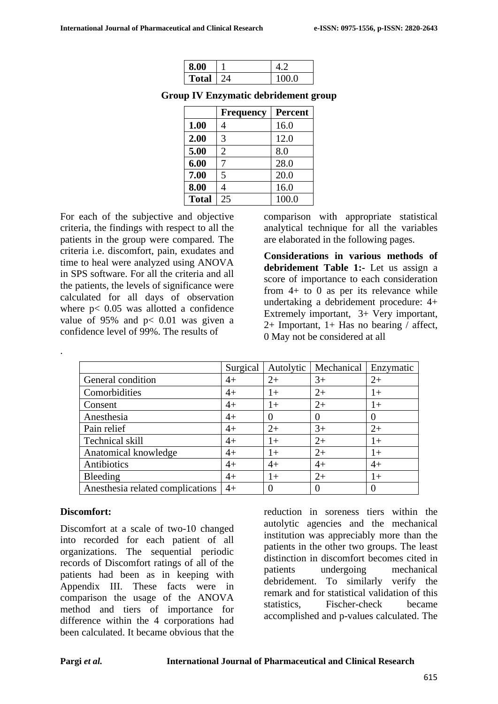| 8.00         |      |
|--------------|------|
| <b>Total</b> | 00.0 |

**Group IV Enzymatic debridement group**

|              | <b>Frequency</b> | <b>Percent</b> |
|--------------|------------------|----------------|
| 1.00         |                  | 16.0           |
| 2.00         | 3                | 12.0           |
| 5.00         | 2                | 8.0            |
| 6.00         |                  | 28.0           |
| 7.00         | 5                | 20.0           |
| 8.00         |                  | 16.0           |
| <b>Total</b> | 25               | 100.0          |

For each of the subjective and objective criteria, the findings with respect to all the patients in the group were compared. The criteria i.e. discomfort, pain, exudates and time to heal were analyzed using ANOVA in SPS software. For all the criteria and all the patients, the levels of significance were calculated for all days of observation where  $p < 0.05$  was allotted a confidence value of  $95\%$  and  $p < 0.01$  was given a confidence level of 99%. The results of

comparison with appropriate statistical analytical technique for all the variables are elaborated in the following pages.

**Considerations in various methods of debridement Table 1:-** Let us assign a score of importance to each consideration from  $4+$  to 0 as per its relevance while undertaking a debridement procedure: 4+ Extremely important, 3+ Very important, 2+ Important,  $1+$  Has no bearing  $\overline{\phantom{a}}$  affect, 0 May not be considered at all

|                                   | Surgical | Autolytic        | Mechanical | Enzymatic |
|-----------------------------------|----------|------------------|------------|-----------|
| General condition                 | $4+$     | $2+$             | $3+$       | $2+$      |
| Comorbidities                     | $4+$     | $1+$             | $2+$       | $1+$      |
| Consent                           | $4+$     | $1+$             | $2+$       | $1+$      |
| Anesthesia                        | $4+$     | $\theta$         | $\theta$   | $\left($  |
| Pain relief                       | $4+$     | $2+$             | $3+$       | $2+$      |
| Technical skill                   | $4+$     | $1+$             | $2+$       | $1+$      |
| Anatomical knowledge              | $4+$     | $1+$             | $2+$       | $1+$      |
| Antibiotics                       | $4+$     | $4+$             | $4+$       | $4+$      |
| Bleeding                          | $4+$     | $1+$             | $2+$       | $1+$      |
| An esthesia related complications | $4+$     | $\left( \right)$ | $\theta$   | $\left($  |

## **Discomfort:**

.

Discomfort at a scale of two-10 changed into recorded for each patient of all organizations. The sequential periodic records of Discomfort ratings of all of the patients had been as in keeping with Appendix III. These facts were in comparison the usage of the ANOVA method and tiers of importance for difference within the 4 corporations had been calculated. It became obvious that the

reduction in soreness tiers within the autolytic agencies and the mechanical institution was appreciably more than the patients in the other two groups. The least distinction in discomfort becomes cited in patients undergoing mechanical debridement. To similarly verify the remark and for statistical validation of this statistics, Fischer-check became accomplished and p-values calculated. The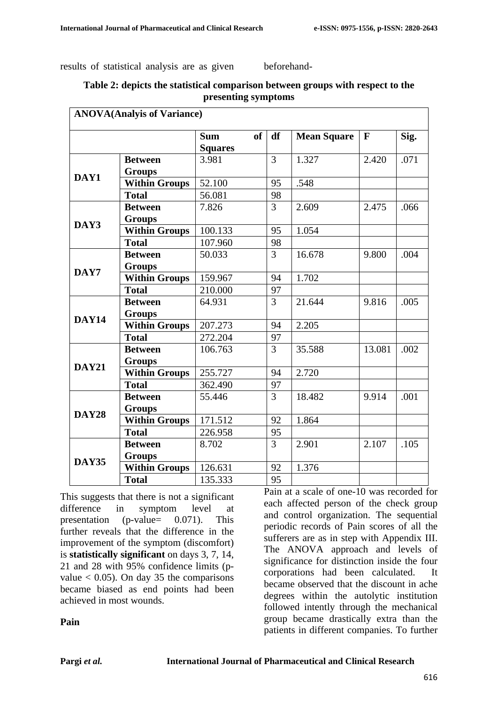results of statistical analysis are as given beforehand-

**Table 2: depicts the statistical comparison between groups with respect to the presenting symptoms**

| <b>ANOVA</b> (Analyis of Variance) |                      |                         |                |                    |                          |      |
|------------------------------------|----------------------|-------------------------|----------------|--------------------|--------------------------|------|
|                                    |                      | <b>of</b><br><b>Sum</b> | df             | <b>Mean Square</b> | $\mathbf{F}$             | Sig. |
|                                    |                      | <b>Squares</b>          |                |                    |                          |      |
|                                    | <b>Between</b>       | 3.981                   | 3              | 1.327              | 2.420                    | .071 |
| DAY1                               | <b>Groups</b>        |                         |                |                    |                          |      |
|                                    | <b>Within Groups</b> | 52.100                  | 95             | .548               |                          |      |
|                                    | <b>Total</b>         | 56.081                  | 98             |                    |                          |      |
|                                    | <b>Between</b>       | 7.826                   | $\overline{3}$ | 2.609              | 2.475                    | .066 |
| DAY3                               | <b>Groups</b>        |                         |                |                    |                          |      |
|                                    | <b>Within Groups</b> | 100.133                 | 95             | 1.054              |                          |      |
|                                    | <b>Total</b>         | 107.960                 | 98             |                    |                          |      |
|                                    | <b>Between</b>       | 50.033                  | $\overline{3}$ | 16.678             | 9.800                    | .004 |
| DAY7                               | <b>Groups</b>        |                         |                |                    |                          |      |
|                                    | <b>Within Groups</b> | 159.967                 | 94             | 1.702              |                          |      |
|                                    | <b>Total</b>         | 210.000                 | 97             |                    |                          |      |
|                                    | <b>Between</b>       | 64.931                  | $\overline{3}$ | 21.644             | 9.816                    | .005 |
| <b>DAY14</b>                       | <b>Groups</b>        |                         |                |                    |                          |      |
|                                    | <b>Within Groups</b> | 207.273                 | 94             | 2.205              |                          |      |
|                                    | <b>Total</b>         | 272.204                 | 97             |                    | 13.081<br>9.914<br>2.107 |      |
|                                    | <b>Between</b>       | 106.763                 | $\overline{3}$ | 35.588             |                          | .002 |
| <b>DAY21</b>                       | <b>Groups</b>        |                         |                |                    |                          |      |
|                                    | <b>Within Groups</b> | 255.727                 | 94             | 2.720              |                          |      |
|                                    | <b>Total</b>         | 362.490                 | 97             |                    |                          |      |
|                                    | <b>Between</b>       | 55.446                  | $\overline{3}$ | 18.482             |                          | .001 |
| <b>DAY28</b>                       | <b>Groups</b>        |                         |                |                    |                          |      |
|                                    | <b>Within Groups</b> | 171.512                 | 92             | 1.864              |                          |      |
|                                    | <b>Total</b>         | 226.958                 | 95             |                    |                          |      |
|                                    | <b>Between</b>       | 8.702                   | $\overline{3}$ | 2.901              |                          | .105 |
| <b>DAY35</b>                       | <b>Groups</b>        |                         |                |                    |                          |      |
|                                    | <b>Within Groups</b> | 126.631                 | 92             | 1.376              |                          |      |
|                                    | <b>Total</b>         | 135.333                 | 95             |                    |                          |      |

This suggests that there is not a significant difference in symptom level at presentation (p-value= 0.071). This further reveals that the difference in the improvement of the symptom (discomfort) is **statistically significant** on days 3, 7, 14, 21 and 28 with 95% confidence limits (pvalue  $< 0.05$ ). On day 35 the comparisons became biased as end points had been achieved in most wounds.

Pain at a scale of one-10 was recorded for each affected person of the check group and control organization. The sequential periodic records of Pain scores of all the sufferers are as in step with Appendix III. The ANOVA approach and levels of significance for distinction inside the four corporations had been calculated. It became observed that the discount in ache degrees within the autolytic institution followed intently through the mechanical group became drastically extra than the patients in different companies. To further

#### **Pain**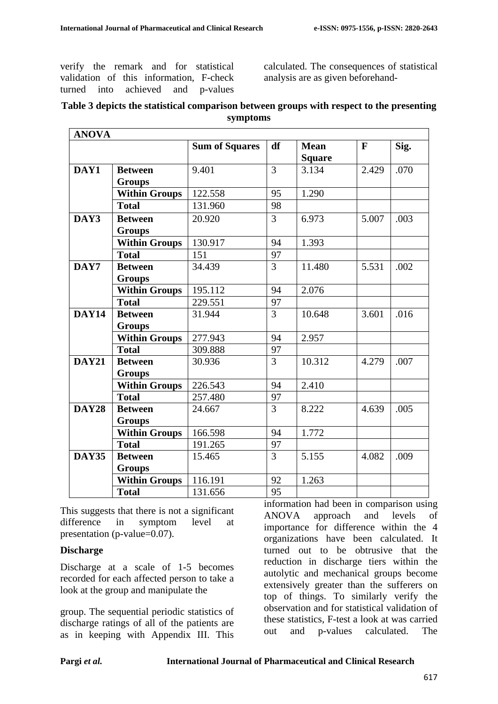verify the remark and for statistical validation of this information, F-check turned into achieved and p-values calculated. The consequences of statistical analysis are as given beforehand-

## **Table 3 depicts the statistical comparison between groups with respect to the presenting symptoms**

| <b>ANOVA</b> |                      |                       |                |                              |              |      |
|--------------|----------------------|-----------------------|----------------|------------------------------|--------------|------|
|              |                      | <b>Sum of Squares</b> | df             | <b>Mean</b><br><b>Square</b> | $\mathbf{F}$ | Sig. |
| DAY1         | <b>Between</b>       | 9.401                 | $\overline{3}$ | 3.134                        | 2.429        | .070 |
|              | <b>Groups</b>        |                       |                |                              |              |      |
|              | <b>Within Groups</b> | 122.558               | 95             | 1.290                        |              |      |
|              | <b>Total</b>         | 131.960               | 98             |                              |              |      |
| DAY3         | <b>Between</b>       | 20.920                | $\overline{3}$ | 6.973                        | 5.007        | .003 |
|              | <b>Groups</b>        |                       |                |                              |              |      |
|              | <b>Within Groups</b> | 130.917               | 94             | 1.393                        |              |      |
|              | <b>Total</b>         | 151                   | 97             |                              |              |      |
| DAY7         | <b>Between</b>       | 34.439                | 3              | 11.480                       | 5.531        | .002 |
|              | <b>Groups</b>        |                       |                |                              |              |      |
|              | <b>Within Groups</b> | 195.112               | 94             | 2.076                        |              |      |
|              | <b>Total</b>         | 229.551               | 97             |                              |              |      |
| <b>DAY14</b> | <b>Between</b>       | 31.944                | 3              | 10.648                       | 3.601        | .016 |
|              | <b>Groups</b>        |                       |                |                              |              |      |
|              | <b>Within Groups</b> | 277.943               | 94             | 2.957                        |              |      |
|              | <b>Total</b>         | 309.888               | 97             |                              |              |      |
| <b>DAY21</b> | <b>Between</b>       | 30.936                | $\overline{3}$ | 10.312                       | 4.279        | .007 |
|              | <b>Groups</b>        |                       |                |                              |              |      |
|              | <b>Within Groups</b> | 226.543               | 94             | 2.410                        |              |      |
|              | <b>Total</b>         | 257.480               | 97             |                              |              |      |
| <b>DAY28</b> | <b>Between</b>       | 24.667                | $\overline{3}$ | 8.222                        | 4.639        | .005 |
|              | <b>Groups</b>        |                       |                |                              |              |      |
|              | <b>Within Groups</b> | 166.598               | 94             | 1.772                        |              |      |
|              | <b>Total</b>         | 191.265               | 97             |                              |              |      |
| <b>DAY35</b> | <b>Between</b>       | 15.465                | 3              | 5.155                        | 4.082        | .009 |
|              | <b>Groups</b>        |                       |                |                              |              |      |
|              | <b>Within Groups</b> | 116.191               | 92             | 1.263                        |              |      |
|              | <b>Total</b>         | 131.656               | 95             |                              |              |      |

This suggests that there is not a significant difference in symptom level at presentation (p-value=0.07).

#### **Discharge**

Discharge at a scale of 1-5 becomes recorded for each affected person to take a look at the group and manipulate the

group. The sequential periodic statistics of discharge ratings of all of the patients are as in keeping with Appendix III. This information had been in comparison using ANOVA approach and levels of importance for difference within the 4 organizations have been calculated. It turned out to be obtrusive that the reduction in discharge tiers within the autolytic and mechanical groups become extensively greater than the sufferers on top of things. To similarly verify the observation and for statistical validation of these statistics, F-test a look at was carried out and p-values calculated. The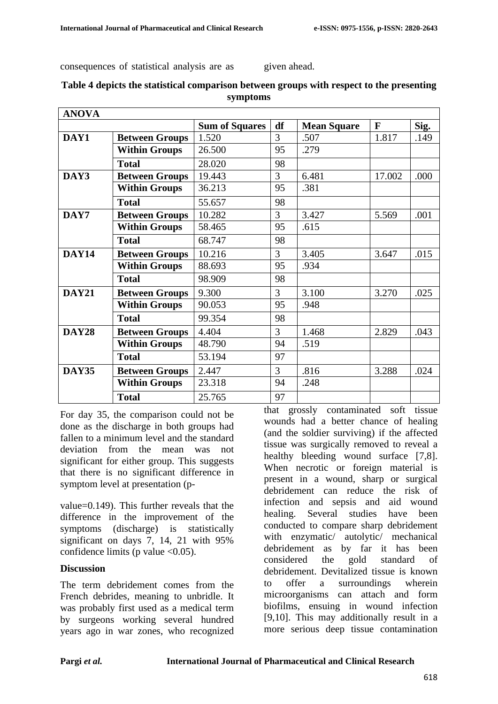consequences of statistical analysis are as given ahead.

| <b>ANOVA</b> |                       |                       |    |                    |              |      |
|--------------|-----------------------|-----------------------|----|--------------------|--------------|------|
|              |                       | <b>Sum of Squares</b> | df | <b>Mean Square</b> | $\mathbf{F}$ | Sig. |
| DAY1         | <b>Between Groups</b> | 1.520                 | 3  | .507               | 1.817        | .149 |
|              | <b>Within Groups</b>  | 26.500                | 95 | .279               |              |      |
|              | <b>Total</b>          | 28.020                | 98 |                    |              |      |
| DAY3         | <b>Between Groups</b> | 19.443                | 3  | 6.481              | 17.002       | .000 |
|              | <b>Within Groups</b>  | 36.213                | 95 | .381               |              |      |
|              | <b>Total</b>          | 55.657                | 98 |                    |              |      |
| DAY7         | <b>Between Groups</b> | 10.282                | 3  | 3.427              | 5.569        | .001 |
|              | <b>Within Groups</b>  | 58.465                | 95 | .615               |              |      |
|              | <b>Total</b>          | 68.747                | 98 |                    |              |      |
| DAY14        | <b>Between Groups</b> | 10.216                | 3  | 3.405              | 3.647        | .015 |
|              | <b>Within Groups</b>  | 88.693                | 95 | .934               |              |      |
|              | <b>Total</b>          | 98.909                | 98 |                    |              |      |
| <b>DAY21</b> | <b>Between Groups</b> | 9.300                 | 3  | 3.100              | 3.270        | .025 |
|              | <b>Within Groups</b>  | 90.053                | 95 | .948               |              |      |
|              | <b>Total</b>          | 99.354                | 98 |                    |              |      |
| <b>DAY28</b> | <b>Between Groups</b> | 4.404                 | 3  | 1.468              | 2.829        | .043 |
|              | <b>Within Groups</b>  | 48.790                | 94 | .519               |              |      |
|              | <b>Total</b>          | 53.194                | 97 |                    |              |      |
| <b>DAY35</b> | <b>Between Groups</b> | 2.447                 | 3  | .816               | 3.288        | .024 |
|              | <b>Within Groups</b>  | 23.318                | 94 | .248               |              |      |
|              | <b>Total</b>          | 25.765                | 97 |                    |              |      |

## **Table 4 depicts the statistical comparison between groups with respect to the presenting symptoms**

For day 35, the comparison could not be done as the discharge in both groups had fallen to a minimum level and the standard deviation from the mean was not significant for either group. This suggests that there is no significant difference in symptom level at presentation (p-

value=0.149). This further reveals that the difference in the improvement of the symptoms (discharge) is statistically significant on days 7, 14, 21 with 95% confidence limits (p value  $\langle 0.05 \rangle$ .

## **Discussion**

The term debridement comes from the French debrides, meaning to unbridle. It was probably first used as a medical term by surgeons working several hundred years ago in war zones, who recognized

that grossly contaminated soft tissue wounds had a better chance of healing (and the soldier surviving) if the affected tissue was surgically removed to reveal a healthy bleeding wound surface [7,8]. When necrotic or foreign material is present in a wound, sharp or surgical debridement can reduce the risk of infection and sepsis and aid wound healing. Several studies have been conducted to compare sharp debridement with enzymatic/ autolytic/ mechanical debridement as by far it has been considered the gold standard of debridement. Devitalized tissue is known to offer a surroundings wherein microorganisms can attach and form biofilms, ensuing in wound infection [9,10]. This may additionally result in a more serious deep tissue contamination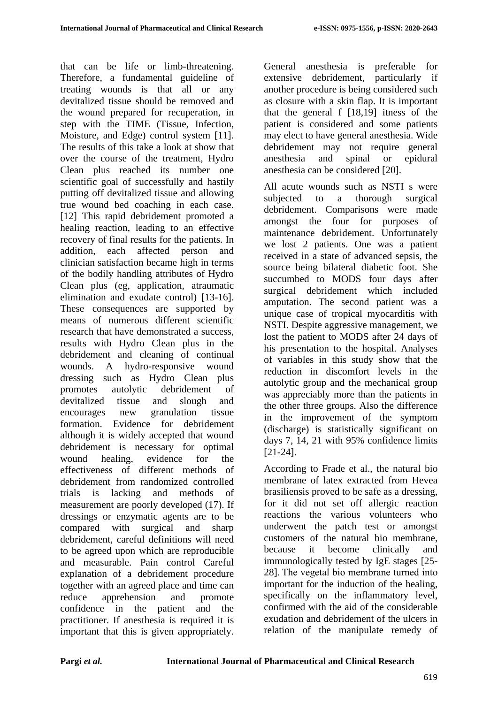that can be life or limb-threatening. Therefore, a fundamental guideline of treating wounds is that all or any devitalized tissue should be removed and the wound prepared for recuperation, in step with the TIME (Tissue, Infection, Moisture, and Edge) control system [11]. The results of this take a look at show that over the course of the treatment, Hydro Clean plus reached its number one scientific goal of successfully and hastily putting off devitalized tissue and allowing true wound bed coaching in each case. [12] This rapid debridement promoted a healing reaction, leading to an effective recovery of final results for the patients. In addition, each affected person and clinician satisfaction became high in terms of the bodily handling attributes of Hydro Clean plus (eg, application, atraumatic elimination and exudate control) [13-16]. These consequences are supported by means of numerous different scientific research that have demonstrated a success, results with Hydro Clean plus in the debridement and cleaning of continual wounds. A hydro-responsive wound dressing such as Hydro Clean plus promotes autolytic debridement of devitalized tissue and slough and encourages new granulation tissue formation. Evidence for debridement although it is widely accepted that wound debridement is necessary for optimal wound healing, evidence for the effectiveness of different methods of debridement from randomized controlled trials is lacking and methods of measurement are poorly developed (17). If dressings or enzymatic agents are to be compared with surgical and sharp debridement, careful definitions will need to be agreed upon which are reproducible and measurable. Pain control Careful explanation of a debridement procedure together with an agreed place and time can reduce apprehension and promote confidence in the patient and the practitioner. If anesthesia is required it is important that this is given appropriately.

General anesthesia is preferable for extensive debridement, particularly if another procedure is being considered such as closure with a skin flap. It is important that the general f [18,19] itness of the patient is considered and some patients may elect to have general anesthesia. Wide debridement may not require general anesthesia and spinal or epidural anesthesia can be considered [20].

All acute wounds such as NSTI s were subjected to a thorough surgical debridement. Comparisons were made amongst the four for purposes of maintenance debridement. Unfortunately we lost 2 patients. One was a patient received in a state of advanced sepsis, the source being bilateral diabetic foot. She succumbed to MODS four days after surgical debridement which included amputation. The second patient was a unique case of tropical myocarditis with NSTI. Despite aggressive management, we lost the patient to MODS after 24 days of his presentation to the hospital. Analyses of variables in this study show that the reduction in discomfort levels in the autolytic group and the mechanical group was appreciably more than the patients in the other three groups. Also the difference in the improvement of the symptom (discharge) is statistically significant on days 7, 14, 21 with 95% confidence limits [21-24].

According to Frade et al., the natural bio membrane of latex extracted from Hevea brasiliensis proved to be safe as a dressing, for it did not set off allergic reaction reactions the various volunteers who underwent the patch test or amongst customers of the natural bio membrane, because it become clinically and immunologically tested by IgE stages [25- 28]. The vegetal bio membrane turned into important for the induction of the healing, specifically on the inflammatory level, confirmed with the aid of the considerable exudation and debridement of the ulcers in relation of the manipulate remedy of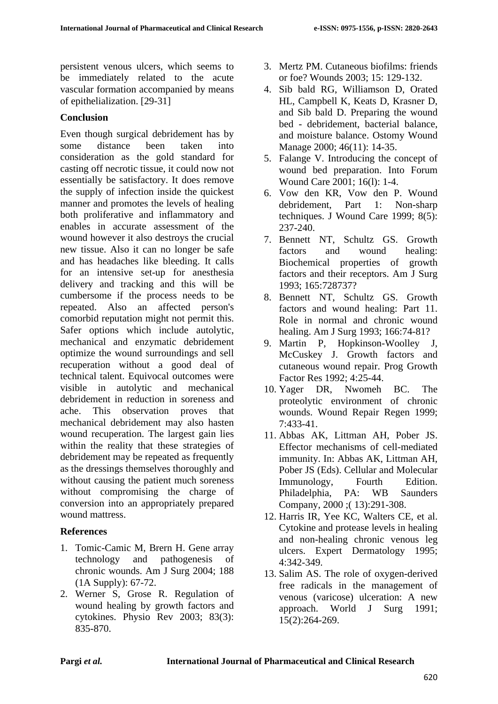persistent venous ulcers, which seems to be immediately related to the acute vascular formation accompanied by means of epithelialization. [29-31]

## **Conclusion**

Even though surgical debridement has by some distance been taken into consideration as the gold standard for casting off necrotic tissue, it could now not essentially be satisfactory. It does remove the supply of infection inside the quickest manner and promotes the levels of healing both proliferative and inflammatory and enables in accurate assessment of the wound however it also destroys the crucial new tissue. Also it can no longer be safe and has headaches like bleeding. It calls for an intensive set-up for anesthesia delivery and tracking and this will be cumbersome if the process needs to be repeated. Also an affected person's comorbid reputation might not permit this. Safer options which include autolytic, mechanical and enzymatic debridement optimize the wound surroundings and sell recuperation without a good deal of technical talent. Equivocal outcomes were visible in autolytic and mechanical debridement in reduction in soreness and ache. This observation proves that mechanical debridement may also hasten wound recuperation. The largest gain lies within the reality that these strategies of debridement may be repeated as frequently as the dressings themselves thoroughly and without causing the patient much soreness without compromising the charge of conversion into an appropriately prepared wound mattress.

## **References**

- 1. Tomic-Camic M, Brern H. Gene array technology and pathogenesis of chronic wounds. Am J Surg 2004; 188 (1A Supply): 67-72.
- 2. Werner S, Grose R. Regulation of wound healing by growth factors and cytokines. Physio Rev 2003; 83(3): 835-870.
- 3. Mertz PM. Cutaneous biofilms: friends or foe? Wounds 2003; 15: 129-132.
- 4. Sib bald RG, Williamson D, Orated HL, Campbell K, Keats D, Krasner D, and Sib bald D. Preparing the wound bed - debridement, bacterial balance, and moisture balance. Ostomy Wound Manage 2000; 46(11): 14-35.
- 5. Falange V. Introducing the concept of wound bed preparation. Into Forum Wound Care 2001; 16(1): 1-4.
- 6. Vow den KR, Vow den P. Wound debridement, Part 1: Non-sharp techniques. J Wound Care 1999; 8(5): 237-240.
- 7. Bennett NT, Schultz GS. Growth factors and wound healing: Biochemical properties of growth factors and their receptors. Am J Surg 1993; 165:728737?
- 8. Bennett NT, Schultz GS. Growth factors and wound healing: Part 11. Role in normal and chronic wound healing. Am J Surg 1993; 166:74-81?
- 9. Martin P, Hopkinson-Woolley J, McCuskey J. Growth factors and cutaneous wound repair. Prog Growth Factor Res 1992; 4:25-44.
- 10. Yager DR, Nwomeh BC. The proteolytic environment of chronic wounds. Wound Repair Regen 1999; 7:433-41.
- 11. Abbas AK, Littman AH, Pober JS. Effector mechanisms of cell-mediated immunity. In: Abbas AK, Littman AH, Pober JS (Eds). Cellular and Molecular Immunology, Fourth Edition. Philadelphia, PA: WB Saunders Company, 2000 ;( 13):291-308.
- 12. Harris IR, Yee KC, Walters CE, et al. Cytokine and protease levels in healing and non-healing chronic venous leg ulcers. Expert Dermatology 1995; 4:342-349.
- 13. Salim AS. The role of oxygen-derived free radicals in the management of venous (varicose) ulceration: A new approach. World J Surg 1991; 15(2):264-269.